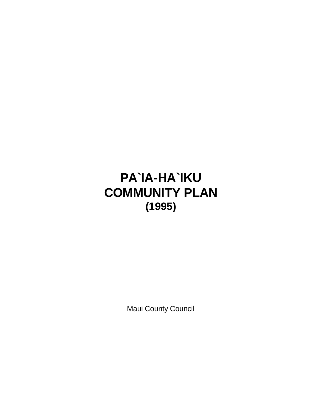# **PA`IA-HA`IKU COMMUNITY PLAN (1995)**

Maui County Council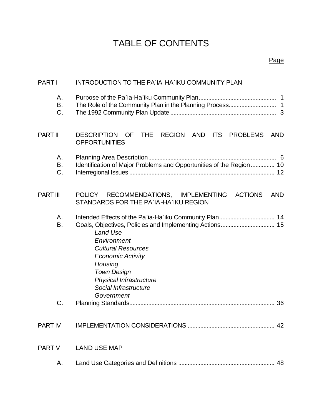# TABLE OF CONTENTS

| <b>PART I</b>   | INTRODUCTION TO THE PA'IA-HA'IKU COMMUNITY PLAN                                                                                                                                                         |  |  |  |  |  |
|-----------------|---------------------------------------------------------------------------------------------------------------------------------------------------------------------------------------------------------|--|--|--|--|--|
| Α.<br>Β.<br>C.  |                                                                                                                                                                                                         |  |  |  |  |  |
| <b>PART II</b>  | <b>THE</b><br>REGION AND<br><b>ITS</b><br><b>PROBLEMS</b><br><b>DESCRIPTION</b><br><b>OF</b><br><b>AND</b><br><b>OPPORTUNITIES</b>                                                                      |  |  |  |  |  |
| Α.<br>В.<br>C.  | Identification of Major Problems and Opportunities of the Region 10                                                                                                                                     |  |  |  |  |  |
| <b>PART III</b> | RECOMMENDATIONS, IMPLEMENTING<br><b>ACTIONS</b><br><b>POLICY</b><br><b>AND</b><br>STANDARDS FOR THE PA'IA-HA'IKU REGION                                                                                 |  |  |  |  |  |
| Α.<br>В.<br>C.  | <b>Land Use</b><br>Environment<br><b>Cultural Resources</b><br><b>Economic Activity</b><br>Housing<br><b>Town Design</b><br><b>Physical Infrastructure</b><br>Social Infrastructure<br>Government<br>36 |  |  |  |  |  |
| <b>PART IV</b>  | 42                                                                                                                                                                                                      |  |  |  |  |  |
| <b>PART V</b>   | <b>LAND USE MAP</b>                                                                                                                                                                                     |  |  |  |  |  |
| Α.              | 48                                                                                                                                                                                                      |  |  |  |  |  |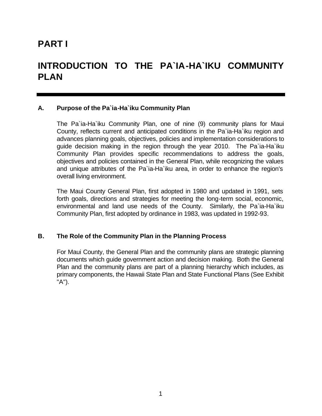# **PART I**

# **INTRODUCTION TO THE PA`IA-HA`IKU COMMUNITY PLAN**

### **A. Purpose of the Pa`ia-Ha`iku Community Plan**

The Pa`ia-Ha`iku Community Plan, one of nine (9) community plans for Maui County, reflects current and anticipated conditions in the Pa`ia-Ha`iku region and advances planning goals, objectives, policies and implementation considerations to guide decision making in the region through the year 2010. The Pa`ia-Ha`iku Community Plan provides specific recommendations to address the goals, objectives and policies contained in the General Plan, while recognizing the values and unique attributes of the Pa`ia-Ha`iku area, in order to enhance the region's overall living environment.

The Maui County General Plan, first adopted in 1980 and updated in 1991, sets forth goals, directions and strategies for meeting the long-term social, economic, environmental and land use needs of the County. Similarly, the Pa`ia-Ha`iku Community Plan, first adopted by ordinance in 1983, was updated in 1992-93.

### **B. The Role of the Community Plan in the Planning Process**

For Maui County, the General Plan and the community plans are strategic planning documents which guide government action and decision making. Both the General Plan and the community plans are part of a planning hierarchy which includes, as primary components, the Hawaii State Plan and State Functional Plans (See Exhibit "A").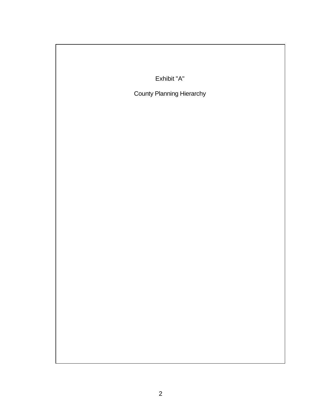| Exhibit "A"                      |  |  |  |  |  |  |
|----------------------------------|--|--|--|--|--|--|
| <b>County Planning Hierarchy</b> |  |  |  |  |  |  |
|                                  |  |  |  |  |  |  |
|                                  |  |  |  |  |  |  |
|                                  |  |  |  |  |  |  |
|                                  |  |  |  |  |  |  |
|                                  |  |  |  |  |  |  |
|                                  |  |  |  |  |  |  |
|                                  |  |  |  |  |  |  |
|                                  |  |  |  |  |  |  |
|                                  |  |  |  |  |  |  |
|                                  |  |  |  |  |  |  |
|                                  |  |  |  |  |  |  |
|                                  |  |  |  |  |  |  |
|                                  |  |  |  |  |  |  |
|                                  |  |  |  |  |  |  |
|                                  |  |  |  |  |  |  |
|                                  |  |  |  |  |  |  |
|                                  |  |  |  |  |  |  |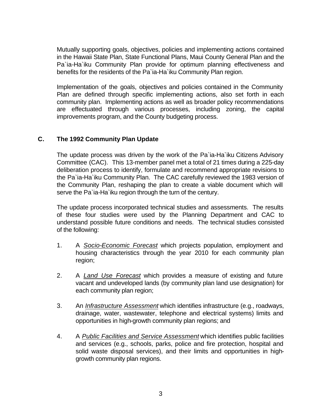Mutually supporting goals, objectives, policies and implementing actions contained in the Hawaii State Plan, State Functional Plans, Maui County General Plan and the Pa`ia-Ha`iku Community Plan provide for optimum planning effectiveness and benefits for the residents of the Pa`ia-Ha`iku Community Plan region.

Implementation of the goals, objectives and policies contained in the Community Plan are defined through specific implementing actions, also set forth in each community plan. Implementing actions as well as broader policy recommendations are effectuated through various processes, including zoning, the capital improvements program, and the County budgeting process.

# **C. The 1992 Community Plan Update**

The update process was driven by the work of the Pa`ia-Ha`iku Citizens Advisory Committee (CAC). This 13-member panel met a total of 21 times during a 225-day deliberation process to identify, formulate and recommend appropriate revisions to the Pa`ia-Ha`iku Community Plan. The CAC carefully reviewed the 1983 version of the Community Plan, reshaping the plan to create a viable document which will serve the Pa`ia-Ha`iku region through the turn of the century.

The update process incorporated technical studies and assessments. The results of these four studies were used by the Planning Department and CAC to understand possible future conditions and needs. The technical studies consisted of the following:

- 1. A *Socio-Economic Forecast* which projects population, employment and housing characteristics through the year 2010 for each community plan region;
- 2. A *Land Use Forecast* which provides a measure of existing and future vacant and undeveloped lands (by community plan land use designation) for each community plan region;
- 3. An *Infrastructure Assessment* which identifies infrastructure (e.g., roadways, drainage, water, wastewater, telephone and electrical systems) limits and opportunities in high-growth community plan regions; and
- 4. A *Public Facilities and Service Assessment* which identifies public facilities and services (e.g., schools, parks, police and fire protection, hospital and solid waste disposal services), and their limits and opportunities in highgrowth community plan regions.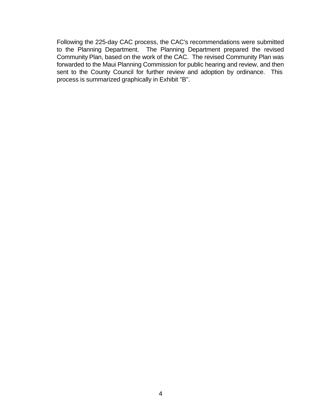Following the 225-day CAC process, the CAC's recommendations were submitted to the Planning Department. The Planning Department prepared the revised Community Plan, based on the work of the CAC. The revised Community Plan was forwarded to the Maui Planning Commission for public hearing and review, and then sent to the County Council for further review and adoption by ordinance. This process is summarized graphically in Exhibit "B".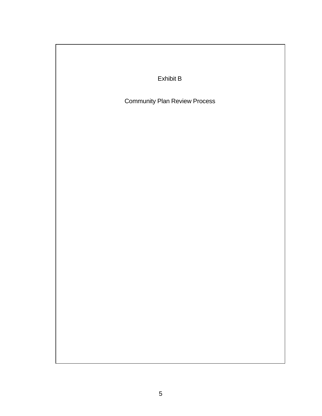| Exhibit B                            |  |  |  |  |  |  |  |
|--------------------------------------|--|--|--|--|--|--|--|
| <b>Community Plan Review Process</b> |  |  |  |  |  |  |  |
|                                      |  |  |  |  |  |  |  |
|                                      |  |  |  |  |  |  |  |
|                                      |  |  |  |  |  |  |  |
|                                      |  |  |  |  |  |  |  |
|                                      |  |  |  |  |  |  |  |
|                                      |  |  |  |  |  |  |  |
|                                      |  |  |  |  |  |  |  |
|                                      |  |  |  |  |  |  |  |
|                                      |  |  |  |  |  |  |  |
|                                      |  |  |  |  |  |  |  |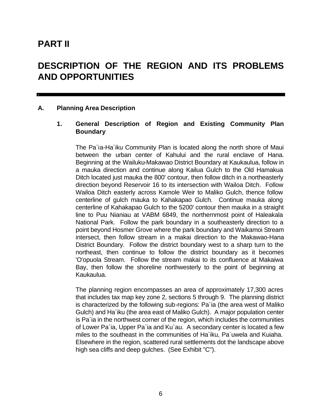# **PART II**

**y**

# **DESCRIPTION OF THE REGION AND ITS PROBLEMS AND OPPORTUNITIES**

### **A. Planning Area Description**

# **1. General Description of Region and Existing Community Plan Boundary**

The Pa`ia-Ha`iku Community Plan is located along the north shore of Maui between the urban center of Kahului and the rural enclave of Hana. Beginning at the Wailuku-Makawao District Boundary at Kaukaulua, follow in a mauka direction and continue along Kailua Gulch to the Old Hamakua Ditch located just mauka the 800' contour, then follow ditch in a northeasterly direction beyond Reservoir 16 to its intersection with Wailoa Ditch. Follow Wailoa Ditch easterly across Kamole Weir to Maliko Gulch, thence follow centerline of gulch mauka to Kahakapao Gulch. Continue mauka along centerline of Kahakapao Gulch to the 5200' contour then mauka in a straight line to Puu Nianiau at VABM 6849, the northernmost point of Haleakala National Park. Follow the park boundary in a southeasterly direction to a point beyond Hosmer Grove where the park boundary and Waikamoi Stream intersect, then follow stream in a makai direction to the Makawao-Hana District Boundary. Follow the district boundary west to a sharp turn to the northeast, then continue to follow the district boundary as it becomes 'O'opuola Stream. Follow the stream makai to its confluence at Makaiwa Bay, then follow the shoreline northwesterly to the point of beginning at Kaukaulua.

The planning region encompasses an area of approximately 17,300 acres that includes tax map key zone 2, sections 5 through 9. The planning district is characterized by the following sub-regions: Pa`ia (the area west of Maliko Gulch) and Ha`iku (the area east of Maliko Gulch). A major population center is Pa`ia in the northwest corner of the region, which includes the communities of Lower Pa`ia, Upper Pa`ia and Ku`au. A secondary center is located a few miles to the southeast in the communities of Ha`iku, Pa`uwela and Kuiaha. Elsewhere in the region, scattered rural settlements dot the landscape above high sea cliffs and deep gulches. (See Exhibit "C").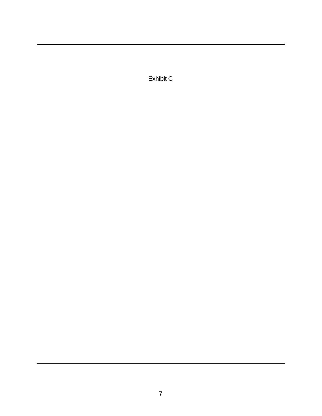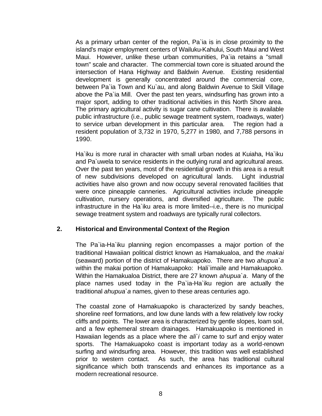As a primary urban center of the region, Pa`ia is in close proximity to the island's major employment centers of Wailuku-Kahului, South Maui and West Maui. However, unlike these urban communities, Pa`ia retains a "small town" scale and character. The commercial town core is situated around the intersection of Hana Highway and Baldwin Avenue. Existing residential development is generally concentrated around the commercial core, between Pa`ia Town and Ku`au, and along Baldwin Avenue to Skill Village above the Pa`ia Mill. Over the past ten years, windsurfing has grown into a major sport, adding to other traditional activities in this North Shore area. The primary agricultural activity is sugar cane cultivation. There is available public infrastructure (i.e., public sewage treatment system, roadways, water) to service urban development in this particular area. The region had a resident population of 3,732 in 1970, 5,277 in 1980, and 7,788 persons in 1990.

Ha`iku is more rural in character with small urban nodes at Kuiaha, Ha`iku and Pa`uwela to service residents in the outlying rural and agricultural areas. Over the past ten years, most of the residential growth in this area is a result of new subdivisions developed on agricultural lands. Light industrial activities have also grown and now occupy several renovated facilities that were once pineapple canneries. Agricultural activities include pineapple cultivation, nursery operations, and diversified agriculture. The public infrastructure in the Ha`iku area is more limited--i.e., there is no municipal sewage treatment system and roadways are typically rural collectors.

### **2. Historical and Environmental Context of the Region**

The Pa`ia-Ha`iku planning region encompasses a major portion of the traditional Hawaiian political district known as Hamakualoa, and the *makai* (seaward) portion of the district of Hamakuapoko. There are two *ahupua`a* within the makai portion of Hamakuapoko: Hali`imaile and Hamakuapoko. Within the Hamakualoa District, there are 27 known *ahupua`a*. Many of the place names used today in the Pa`ia-Ha`iku region are actually the traditional *ahupua`a* names, given to these areas centuries ago.

The coastal zone of Hamakuapoko is characterized by sandy beaches, shoreline reef formations, and low dune lands with a few relatively low rocky cliffs and points. The lower area is characterized by gentle slopes, loam soil, and a few ephemeral stream drainages. Hamakuapoko is mentioned in Hawaiian legends as a place where the *ali`i* came to surf and enjoy water sports. The Hamakuapoko coast is important today as a world-renown surfing and windsurfing area. However, this tradition was well established prior to western contact. As such, the area has traditional cultural significance which both transcends and enhances its importance as a modern recreational resource.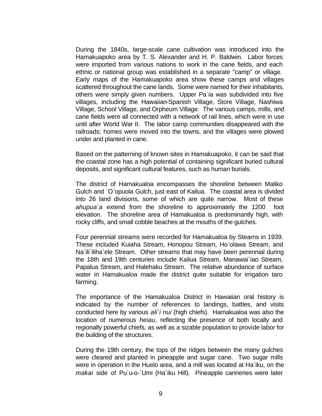During the 1840s, large-scale cane cultivation was introduced into the Hamakuapoko area by T. S. Alexander and H. P. Baldwin. Labor forces were imported from various nations to work in the cane fields, and each ethnic or national group was established in a separate "camp" or village. Early maps of the Hamakuapoko area show these camps and villages scattered throughout the cane lands. Some were named for their inhabitants, others were simply given numbers. Upper Pa`ia was subdivided into five villages, including the Hawaiian-Spanish Village, Store Village, Nashiwa Village, School Village, and Orpheum Village. The various camps, mills, and cane fields were all connected with a network of rail lines, which were in use until after World War II. The labor camp communities disappeared with the railroads; homes were moved into the towns, and the villages were plowed under and planted in cane.

Based on the patterning of known sites in Hamakuapoko, it can be said that the coastal zone has a high potential of containing significant buried cultural deposits, and significant cultural features, such as human burials.

The district of Hamakualoa encompasses the shoreline between Maliko Gulch and `O`opuola Gulch, just east of Kailua. The coastal area is divided into 26 land divisions, some of which are quite narrow. Most of these *ahupua`a* extend from the shoreline to approximately the 1200 foot elevation. The shoreline area of Hamakualoa is predominantly high, with rocky cliffs, and small cobble beaches at the mouths of the gulches.

Four perennial streams were recorded for Hamakualoa by Stearns in 1939. These included Kuiaha Stream, Honopou Stream, Ho`olawa Stream, and Na`ili`iliha`ele Stream. Other streams that may have been perennial during the 18th and 19th centuries include Kailua Stream, Manawai`iao Stream, Papalua Stream, and Halehaku Stream. The relative abundance of surface water in Hamakualoa made the district quite suitable for irrigation taro farming.

The importance of the Hamakualoa District in Hawaiian oral history is indicated by the number of references to landings, battles, and visits conducted here by various *ali`i nui* (high chiefs). Hamakualoa was also the location of numerous *heiau*, reflecting the presence of both locally and regionally powerful chiefs, as well as a sizable population to provide labor for the building of the structures.

During the 19th century, the tops of the ridges between the many gulches were cleared and planted in pineapple and sugar cane. Two sugar mills were in operation in the Huelo area, and a mill was located at Ha`iku, on the *makai* side of Pu`u-o-`Umi (Ha`iku Hill). Pineapple canneries were later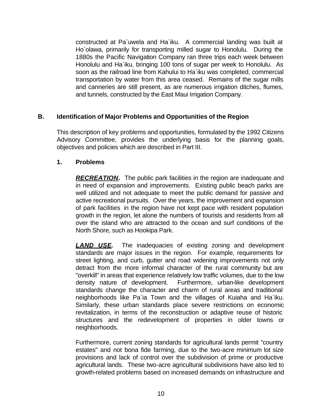constructed at Pa`uwela and Ha`iku. A commercial landing was built at Ho`olawa, primarily for transporting milled sugar to Honolulu. During the 1880s the Pacific Navigation Company ran three trips each week between Honolulu and Ha`iku, bringing 100 tons of sugar per week to Honolulu. As soon as the railroad line from Kahului to Ha`iku was completed, commercial transportation by water from this area ceased. Remains of the sugar mills and canneries are still present, as are numerous irrigation ditches, flumes, and tunnels, constructed by the East Maui Irrigation Company.

# **B. Identification of Major Problems and Opportunities of the Region**

This description of key problems and opportunities, formulated by the 1992 Citizens Advisory Committee, provides the underlying basis for the planning goals, objectives and policies which are described in Part III.

### **1. Problems**

**RECREATION.** The public park facilities in the region are inadequate and in need of expansion and improvements. Existing public beach parks are well utilized and not adequate to meet the public demand for passive and active recreational pursuits. Over the years, the improvement and expansion of park facilities in the region have not kept pace with resident population growth in the region, let alone the numbers of tourists and residents from all over the island who are attracted to the ocean and surf conditions of the North Shore, such as Hookipa Park.

**LAND USE.** The inadequacies of existing zoning and development standards are major issues in the region. For example, requirements for street lighting, and curb, gutter and road widening improvements not only detract from the more informal character of the rural community but are "overkill" in areas that experience relatively low traffic volumes, due to the low density nature of development. Furthermore, urban-like development standards change the character and charm of rural areas and traditional neighborhoods like Pa`ia Town and the villages of Kuiaha and Ha`iku. Similarly, these urban standards place severe restrictions on economic revitalization, in terms of the reconstruction or adaptive reuse of historic structures and the redevelopment of properties in older towns or neighborhoods.

Furthermore, current zoning standards for agricultural lands permit "country estates" and not bona fide farming, due to the two-acre minimum lot size provisions and lack of control over the subdivision of prime or productive agricultural lands. These two-acre agricultural subdivisions have also led to growth-related problems based on increased demands on infrastructure and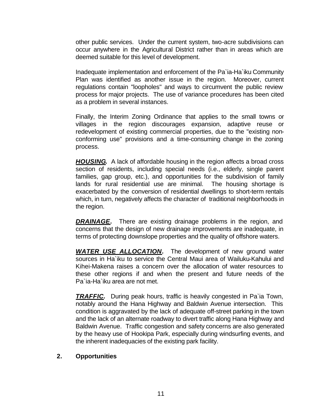other public services. Under the current system, two-acre subdivisions can occur anywhere in the Agricultural District rather than in areas which are deemed suitable for this level of development.

Inadequate implementation and enforcement of the Pa`ia-Ha`iku Community Plan was identified as another issue in the region. Moreover, current regulations contain "loopholes" and ways to circumvent the public review process for major projects. The use of variance procedures has been cited as a problem in several instances.

Finally, the Interim Zoning Ordinance that applies to the small towns or villages in the region discourages expansion, adaptive reuse or redevelopment of existing commercial properties, due to the "existing nonconforming use" provisions and a time-consuming change in the zoning process.

**HOUSING.** A lack of affordable housing in the region affects a broad cross section of residents, including special needs (i.e., elderly, single parent families, gap group, etc.), and opportunities for the subdivision of family lands for rural residential use are minimal. The housing shortage is exacerbated by the conversion of residential dwellings to short-term rentals which, in turn, negatively affects the character of traditional neighborhoods in the region.

**DRAINAGE.** There are existing drainage problems in the region, and concerns that the design of new drainage improvements are inadequate, in terms of protecting downslope properties and the quality of offshore waters.

*WATER USE ALLOCATION.* The development of new ground water sources in Ha`iku to service the Central Maui area of Wailuku-Kahului and Kihei-Makena raises a concern over the allocation of water resources to these other regions if and when the present and future needs of the Pa`ia-Ha`iku area are not met.

*TRAFFIC.* During peak hours, traffic is heavily congested in Pa`ia Town, notably around the Hana Highway and Baldwin Avenue intersection. This condition is aggravated by the lack of adequate off-street parking in the town and the lack of an alternate roadway to divert traffic along Hana Highway and Baldwin Avenue. Traffic congestion and safety concerns are also generated by the heavy use of Hookipa Park, especially during windsurfing events, and the inherent inadequacies of the existing park facility.

### **2. Opportunities**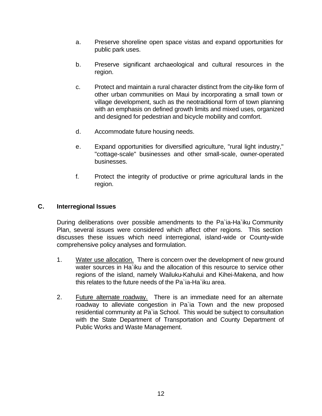- a. Preserve shoreline open space vistas and expand opportunities for public park uses.
- b. Preserve significant archaeological and cultural resources in the region.
- c. Protect and maintain a rural character distinct from the city-like form of other urban communities on Maui by incorporating a small town or village development, such as the neotraditional form of town planning with an emphasis on defined growth limits and mixed uses, organized and designed for pedestrian and bicycle mobility and comfort.
- d. Accommodate future housing needs.
- e. Expand opportunities for diversified agriculture, "rural light industry," "cottage-scale" businesses and other small-scale, owner-operated businesses.
- f. Protect the integrity of productive or prime agricultural lands in the region.

### **C. Interregional Issues**

During deliberations over possible amendments to the Pa`ia-Ha`iku Community Plan, several issues were considered which affect other regions. This section discusses these issues which need interregional, island-wide or County-wide comprehensive policy analyses and formulation.

- 1. Water use allocation. There is concern over the development of new ground water sources in Ha`iku and the allocation of this resource to service other regions of the island, namely Wailuku-Kahului and Kihei-Makena, and how this relates to the future needs of the Pa`ia-Ha`iku area.
- 2. Future alternate roadway. There is an immediate need for an alternate roadway to alleviate congestion in Pa`ia Town and the new proposed residential community at Pa`ia School. This would be subject to consultation with the State Department of Transportation and County Department of Public Works and Waste Management.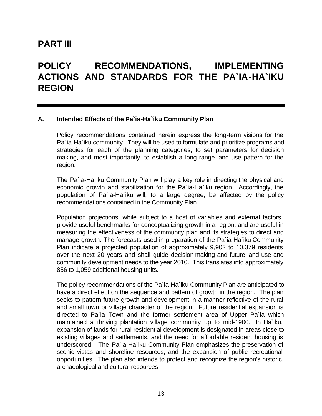# **PART III**

# **POLICY RECOMMENDATIONS, IMPLEMENTING ACTIONS AND STANDARDS FOR THE PA`IA-HA`IKU REGION**

### **A. Intended Effects of the Pa`ia-Ha`iku Community Plan**

Policy recommendations contained herein express the long-term visions for the Pa`ia-Ha`iku community. They will be used to formulate and prioritize programs and strategies for each of the planning categories, to set parameters for decision making, and most importantly, to establish a long-range land use pattern for the region.

The Pa`ia-Ha`iku Community Plan will play a key role in directing the physical and economic growth and stabilization for the Pa`ia-Ha`iku region. Accordingly, the population of Pa`ia-Ha`iku will, to a large degree, be affected by the policy recommendations contained in the Community Plan.

Population projections, while subject to a host of variables and external factors, provide useful benchmarks for conceptualizing growth in a region, and are useful in measuring the effectiveness of the community plan and its strategies to direct and manage growth. The forecasts used in preparation of the Pa`ia-Ha`iku Community Plan indicate a projected population of approximately 9,902 to 10,379 residents over the next 20 years and shall guide decision-making and future land use and community development needs to the year 2010. This translates into approximately 856 to 1,059 additional housing units.

The policy recommendations of the Pa`ia-Ha`iku Community Plan are anticipated to have a direct effect on the sequence and pattern of growth in the region. The plan seeks to pattern future growth and development in a manner reflective of the rural and small town or village character of the region. Future residential expansion is directed to Pa`ia Town and the former settlement area of Upper Pa`ia which maintained a thriving plantation village community up to mid-1900. In Ha`iku, expansion of lands for rural residential development is designated in areas close to existing villages and settlements, and the need for affordable resident housing is underscored. The Pa`ia-Ha`iku Community Plan emphasizes the preservation of scenic vistas and shoreline resources, and the expansion of public recreational opportunities. The plan also intends to protect and recognize the region's historic, archaeological and cultural resources.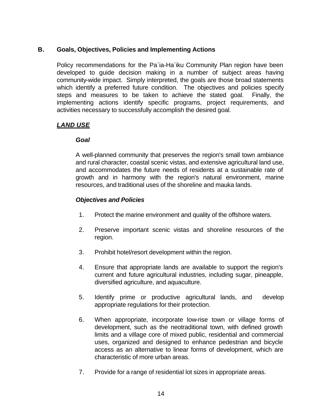# **B. Goals, Objectives, Policies and Implementing Actions**

Policy recommendations for the Pa`ia-Ha`iku Community Plan region have been developed to guide decision making in a number of subject areas having community-wide impact. Simply interpreted, the goals are those broad statements which identify a preferred future condition. The objectives and policies specify steps and measures to be taken to achieve the stated goal. Finally, the implementing actions identify specific programs, project requirements, and activities necessary to successfully accomplish the desired goal.

# *LAND USE*

# *Goal*

A well-planned community that preserves the region's small town ambiance and rural character, coastal scenic vistas, and extensive agricultural land use, and accommodates the future needs of residents at a sustainable rate of growth and in harmony with the region's natural environment, marine resources, and traditional uses of the shoreline and mauka lands.

- 1. Protect the marine environment and quality of the offshore waters.
- 2. Preserve important scenic vistas and shoreline resources of the region.
- 3. Prohibit hotel/resort development within the region.
- 4. Ensure that appropriate lands are available to support the region's current and future agricultural industries, including sugar, pineapple, diversified agriculture, and aquaculture.
- 5. Identify prime or productive agricultural lands, and develop appropriate regulations for their protection.
- 6. When appropriate, incorporate low-rise town or village forms of development, such as the neotraditional town, with defined growth limits and a village core of mixed public, residential and commercial uses, organized and designed to enhance pedestrian and bicycle access as an alternative to linear forms of development, which are characteristic of more urban areas.
- 7. Provide for a range of residential lot sizes in appropriate areas.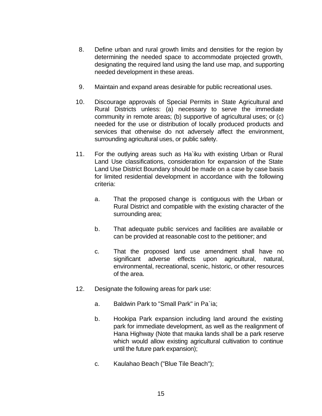- 8. Define urban and rural growth limits and densities for the region by determining the needed space to accommodate projected growth, designating the required land using the land use map, and supporting needed development in these areas.
- 9. Maintain and expand areas desirable for public recreational uses.
- 10. Discourage approvals of Special Permits in State Agricultural and Rural Districts unless: (a) necessary to serve the immediate community in remote areas; (b) supportive of agricultural uses; or (c) needed for the use or distribution of locally produced products and services that otherwise do not adversely affect the environment, surrounding agricultural uses, or public safety.
- 11. For the outlying areas such as Ha`iku with existing Urban or Rural Land Use classifications, consideration for expansion of the State Land Use District Boundary should be made on a case by case basis for limited residential development in accordance with the following criteria:
	- a. That the proposed change is contiguous with the Urban or Rural District and compatible with the existing character of the surrounding area;
	- b. That adequate public services and facilities are available or can be provided at reasonable cost to the petitioner; and
	- c. That the proposed land use amendment shall have no significant adverse effects upon agricultural, natural, environmental, recreational, scenic, historic, or other resources of the area.
- 12. Designate the following areas for park use:
	- a. Baldwin Park to "Small Park" in Pa`ia;
	- b. Hookipa Park expansion including land around the existing park for immediate development, as well as the realignment of Hana Highway (Note that mauka lands shall be a park reserve which would allow existing agricultural cultivation to continue until the future park expansion);
	- c. Kaulahao Beach ("Blue Tile Beach");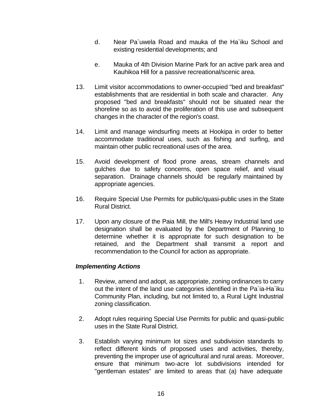- d. Near Pa`uwela Road and mauka of the Ha`iku School and existing residential developments; and
- e. Mauka of 4th Division Marine Park for an active park area and Kauhikoa Hill for a passive recreational/scenic area.
- 13. Limit visitor accommodations to owner-occupied "bed and breakfast" establishments that are residential in both scale and character. Any proposed "bed and breakfasts" should not be situated near the shoreline so as to avoid the proliferation of this use and subsequent changes in the character of the region's coast.
- 14. Limit and manage windsurfing meets at Hookipa in order to better accommodate traditional uses, such as fishing and surfing, and maintain other public recreational uses of the area.
- 15. Avoid development of flood prone areas, stream channels and gulches due to safety concerns, open space relief, and visual separation. Drainage channels should be regularly maintained by appropriate agencies.
- 16. Require Special Use Permits for public/quasi-public uses in the State Rural District.
- 17. Upon any closure of the Paia Mill, the Mill's Heavy Industrial land use designation shall be evaluated by the Department of Planning to determine whether it is appropriate for such designation to be retained, and the Department shall transmit a report and recommendation to the Council for action as appropriate.

# *Implementing Actions*

- 1. Review, amend and adopt, as appropriate, zoning ordinances to carry out the intent of the land use categories identified in the Pa`ia-Ha`iku Community Plan, including, but not limited to, a Rural Light Industrial zoning classification.
- 2. Adopt rules requiring Special Use Permits for public and quasi-public uses in the State Rural District.
- 3. Establish varying minimum lot sizes and subdivision standards to reflect different kinds of proposed uses and activities, thereby, preventing the improper use of agricultural and rural areas. Moreover, ensure that minimum two-acre lot subdivisions intended for "gentleman estates" are limited to areas that (a) have adequate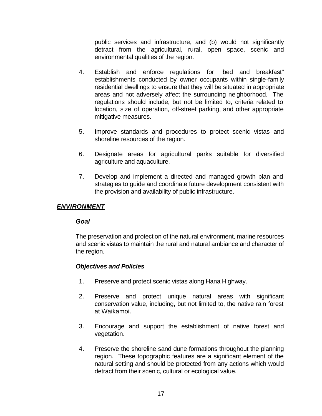public services and infrastructure, and (b) would not significantly detract from the agricultural, rural, open space, scenic and environmental qualities of the region.

- 4. Establish and enforce regulations for "bed and breakfast" establishments conducted by owner occupants within single-family residential dwellings to ensure that they will be situated in appropriate areas and not adversely affect the surrounding neighborhood. The regulations should include, but not be limited to, criteria related to location, size of operation, off-street parking, and other appropriate mitigative measures.
- 5. Improve standards and procedures to protect scenic vistas and shoreline resources of the region.
- 6. Designate areas for agricultural parks suitable for diversified agriculture and aquaculture.
- 7. Develop and implement a directed and managed growth plan and strategies to guide and coordinate future development consistent with the provision and availability of public infrastructure.

# *ENVIRONMENT*

### *Goal*

The preservation and protection of the natural environment, marine resources and scenic vistas to maintain the rural and natural ambiance and character of the region.

- 1. Preserve and protect scenic vistas along Hana Highway.
- 2. Preserve and protect unique natural areas with significant conservation value, including, but not limited to, the native rain forest at Waikamoi.
- 3. Encourage and support the establishment of native forest and vegetation.
- 4. Preserve the shoreline sand dune formations throughout the planning region. These topographic features are a significant element of the natural setting and should be protected from any actions which would detract from their scenic, cultural or ecological value.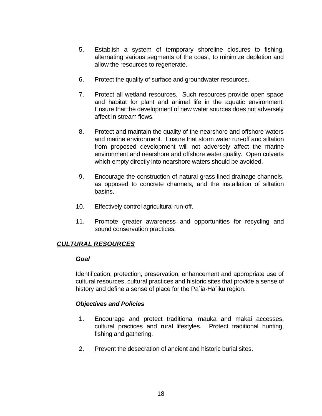- 5. Establish a system of temporary shoreline closures to fishing, alternating various segments of the coast, to minimize depletion and allow the resources to regenerate.
- 6. Protect the quality of surface and groundwater resources.
- 7. Protect all wetland resources. Such resources provide open space and habitat for plant and animal life in the aquatic environment. Ensure that the development of new water sources does not adversely affect in-stream flows.
- 8. Protect and maintain the quality of the nearshore and offshore waters and marine environment. Ensure that storm water run-off and siltation from proposed development will not adversely affect the marine environment and nearshore and offshore water quality. Open culverts which empty directly into nearshore waters should be avoided.
- 9. Encourage the construction of natural grass-lined drainage channels, as opposed to concrete channels, and the installation of siltation **basins**.
- 10. Effectively control agricultural run-off.
- 11. Promote greater awareness and opportunities for recycling and sound conservation practices.

### *CULTURAL RESOURCES*

#### *Goal*

Identification, protection, preservation, enhancement and appropriate use of cultural resources, cultural practices and historic sites that provide a sense of history and define a sense of place for the Pa`ia-Ha`iku region.

- 1. Encourage and protect traditional mauka and makai accesses, cultural practices and rural lifestyles. Protect traditional hunting, fishing and gathering.
- 2. Prevent the desecration of ancient and historic burial sites.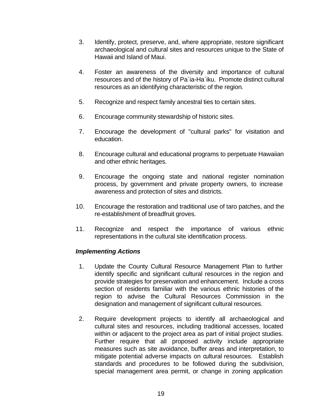- 3. Identify, protect, preserve, and, where appropriate, restore significant archaeological and cultural sites and resources unique to the State of Hawaii and Island of Maui.
- 4. Foster an awareness of the diversity and importance of cultural resources and of the history of Pa`ia-Ha`iku. Promote distinct cultural resources as an identifying characteristic of the region.
- 5. Recognize and respect family ancestral ties to certain sites.
- 6. Encourage community stewardship of historic sites.
- 7. Encourage the development of "cultural parks" for visitation and education.
- 8. Encourage cultural and educational programs to perpetuate Hawaiian and other ethnic heritages.
- 9. Encourage the ongoing state and national register nomination process, by government and private property owners, to increase awareness and protection of sites and districts.
- 10. Encourage the restoration and traditional use of taro patches, and the re-establishment of breadfruit groves.
- 11. Recognize and respect the importance of various ethnic representations in the cultural site identification process.

### *Implementing Actions*

- 1. Update the County Cultural Resource Management Plan to further identify specific and significant cultural resources in the region and provide strategies for preservation and enhancement. Include a cross section of residents familiar with the various ethnic histories of the region to advise the Cultural Resources Commission in the designation and management of significant cultural resources.
- 2. Require development projects to identify all archaeological and cultural sites and resources, including traditional accesses, located within or adjacent to the project area as part of initial project studies. Further require that all proposed activity include appropriate measures such as site avoidance, buffer areas and interpretation, to mitigate potential adverse impacts on cultural resources. Establish standards and procedures to be followed during the subdivision, special management area permit, or change in zoning application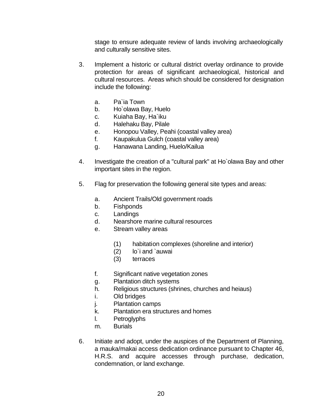stage to ensure adequate review of lands involving archaeologically and culturally sensitive sites.

- 3. Implement a historic or cultural district overlay ordinance to provide protection for areas of significant archaeological, historical and cultural resources. Areas which should be considered for designation include the following:
	- a. Pa`ia Town
	- b. Ho`olawa Bay, Huelo
	- c. Kuiaha Bay, Ha`iku
	- d. Halehaku Bay, Pilale
	- e. Honopou Valley, Peahi (coastal valley area)
	- f. Kaupakulua Gulch (coastal valley area)
	- g. Hanawana Landing, Huelo/Kailua
- 4. Investigate the creation of a "cultural park" at Ho`olawa Bay and other important sites in the region.
- 5. Flag for preservation the following general site types and areas:
	- a. Ancient Trails/Old government roads
	- b. Fishponds
	- c. Landings
	- d. Nearshore marine cultural resources
	- e. Stream valley areas
		- (1) habitation complexes (shoreline and interior)
		- (2) lo`i and `auwai
		- (3) terraces
	- f. Significant native vegetation zones
	- g. Plantation ditch systems
	- h. Religious structures (shrines, churches and heiaus)
	- i. Old bridges
	- j. Plantation camps
	- k. Plantation era structures and homes
	- l. Petroglyphs
	- m. Burials
- 6. Initiate and adopt, under the auspices of the Department of Planning, a mauka/makai access dedication ordinance pursuant to Chapter 46, H.R.S. and acquire accesses through purchase, dedication, condemnation, or land exchange.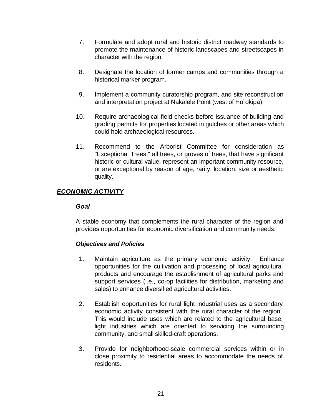- 7. Formulate and adopt rural and historic district roadway standards to promote the maintenance of historic landscapes and streetscapes in character with the region.
- 8. Designate the location of former camps and communities through a historical marker program.
- 9. Implement a community curatorship program, and site reconstruction and interpretation project at Nakalele Point (west of Ho`okipa).
- 10. Require archaeological field checks before issuance of building and grading permits for properties located in gulches or other areas which could hold archaeological resources.
- 11. Recommend to the Arborist Committee for consideration as "Exceptional Trees," all trees, or groves of trees, that have significant historic or cultural value, represent an important community resource, or are exceptional by reason of age, rarity, location, size or aesthetic quality.

# *ECONOMIC ACTIVITY*

### *Goal*

A stable economy that complements the rural character of the region and provides opportunities for economic diversification and community needs.

- 1. Maintain agriculture as the primary economic activity. Enhance opportunities for the cultivation and processing of local agricultural products and encourage the establishment of agricultural parks and support services (i.e., co-op facilities for distribution, marketing and sales) to enhance diversified agricultural activities.
- 2. Establish opportunities for rural light industrial uses as a secondary economic activity consistent with the rural character of the region. This would include uses which are related to the agricultural base, light industries which are oriented to servicing the surrounding community, and small skilled-craft operations.
- 3. Provide for neighborhood-scale commercial services within or in close proximity to residential areas to accommodate the needs of residents.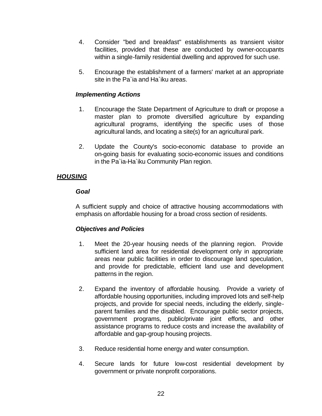- 4. Consider "bed and breakfast" establishments as transient visitor facilities, provided that these are conducted by owner-occupants within a single-family residential dwelling and approved for such use.
- 5. Encourage the establishment of a farmers' market at an appropriate site in the Pa`ia and Ha`iku areas.

# *Implementing Actions*

- 1. Encourage the State Department of Agriculture to draft or propose a master plan to promote diversified agriculture by expanding agricultural programs, identifying the specific uses of those agricultural lands, and locating a site(s) for an agricultural park.
- 2. Update the County's socio-economic database to provide an on-going basis for evaluating socio-economic issues and conditions in the Pa`ia-Ha`iku Community Plan region.

# *HOUSING*

# *Goal*

A sufficient supply and choice of attractive housing accommodations with emphasis on affordable housing for a broad cross section of residents.

- 1. Meet the 20-year housing needs of the planning region. Provide sufficient land area for residential development only in appropriate areas near public facilities in order to discourage land speculation, and provide for predictable, efficient land use and development patterns in the region.
- 2. Expand the inventory of affordable housing. Provide a variety of affordable housing opportunities, including improved lots and self-help projects, and provide for special needs, including the elderly, singleparent families and the disabled. Encourage public sector projects, government programs, public/private joint efforts, and other assistance programs to reduce costs and increase the availability of affordable and gap-group housing projects.
- 3. Reduce residential home energy and water consumption.
- 4. Secure lands for future low-cost residential development by government or private nonprofit corporations.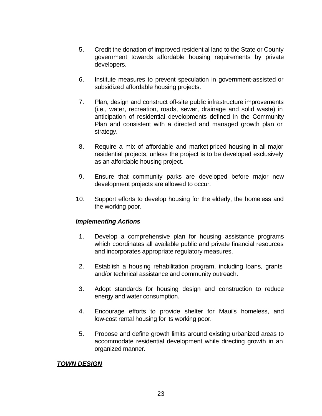- 5. Credit the donation of improved residential land to the State or County government towards affordable housing requirements by private developers.
- 6. Institute measures to prevent speculation in government-assisted or subsidized affordable housing projects.
- 7. Plan, design and construct off-site public infrastructure improvements (i.e., water, recreation, roads, sewer, drainage and solid waste) in anticipation of residential developments defined in the Community Plan and consistent with a directed and managed growth plan or strategy.
- 8. Require a mix of affordable and market-priced housing in all major residential projects, unless the project is to be developed exclusively as an affordable housing project.
- 9. Ensure that community parks are developed before major new development projects are allowed to occur.
- 10. Support efforts to develop housing for the elderly, the homeless and the working poor.

### *Implementing Actions*

- 1. Develop a comprehensive plan for housing assistance programs which coordinates all available public and private financial resources and incorporates appropriate regulatory measures.
- 2. Establish a housing rehabilitation program, including loans, grants and/or technical assistance and community outreach.
- 3. Adopt standards for housing design and construction to reduce energy and water consumption.
- 4. Encourage efforts to provide shelter for Maui's homeless, and low-cost rental housing for its working poor.
- 5. Propose and define growth limits around existing urbanized areas to accommodate residential development while directing growth in an organized manner.

### *TOWN DESIGN*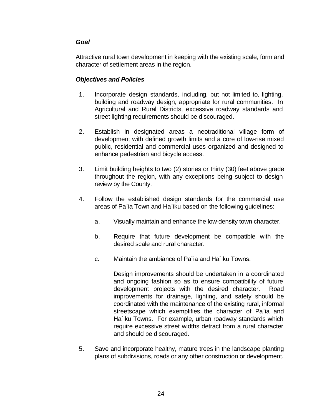# *Goal*

Attractive rural town development in keeping with the existing scale, form and character of settlement areas in the region.

# *Objectives and Policies*

- 1. Incorporate design standards, including, but not limited to, lighting, building and roadway design, appropriate for rural communities. In Agricultural and Rural Districts, excessive roadway standards and street lighting requirements should be discouraged.
- 2. Establish in designated areas a neotraditional village form of development with defined growth limits and a core of low-rise mixed public, residential and commercial uses organized and designed to enhance pedestrian and bicycle access.
- 3. Limit building heights to two (2) stories or thirty (30) feet above grade throughout the region, with any exceptions being subject to design review by the County.
- 4. Follow the established design standards for the commercial use areas of Pa`ia Town and Ha`iku based on the following guidelines:
	- a. Visually maintain and enhance the low-density town character.
	- b. Require that future development be compatible with the desired scale and rural character.
	- c. Maintain the ambiance of Pa`ia and Ha`iku Towns.

Design improvements should be undertaken in a coordinated and ongoing fashion so as to ensure compatibility of future development projects with the desired character. Road improvements for drainage, lighting, and safety should be coordinated with the maintenance of the existing rural, informal streetscape which exemplifies the character of Pa`ia and Ha`iku Towns. For example, urban roadway standards which require excessive street widths detract from a rural character and should be discouraged.

 5. Save and incorporate healthy, mature trees in the landscape planting plans of subdivisions, roads or any other construction or development.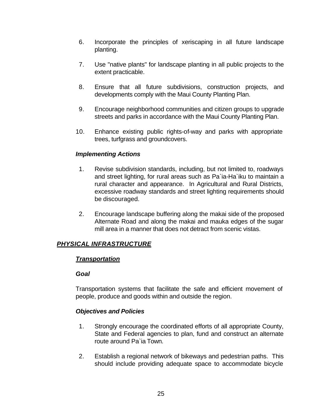- 6. Incorporate the principles of xeriscaping in all future landscape planting.
- 7. Use "native plants" for landscape planting in all public projects to the extent practicable.
- 8. Ensure that all future subdivisions, construction projects, and developments comply with the Maui County Planting Plan.
- 9. Encourage neighborhood communities and citizen groups to upgrade streets and parks in accordance with the Maui County Planting Plan.
- 10. Enhance existing public rights-of-way and parks with appropriate trees, turfgrass and groundcovers.

# *Implementing Actions*

- 1. Revise subdivision standards, including, but not limited to, roadways and street lighting, for rural areas such as Pa`ia-Ha`iku to maintain a rural character and appearance. In Agricultural and Rural Districts, excessive roadway standards and street lighting requirements should be discouraged.
- 2. Encourage landscape buffering along the makai side of the proposed Alternate Road and along the makai and mauka edges of the sugar mill area in a manner that does not detract from scenic vistas.

# *PHYSICAL INFRASTRUCTURE*

# *Transportation*

# *Goal*

Transportation systems that facilitate the safe and efficient movement of people, produce and goods within and outside the region.

- 1. Strongly encourage the coordinated efforts of all appropriate County, State and Federal agencies to plan, fund and construct an alternate route around Pa`ia Town.
- 2. Establish a regional network of bikeways and pedestrian paths. This should include providing adequate space to accommodate bicycle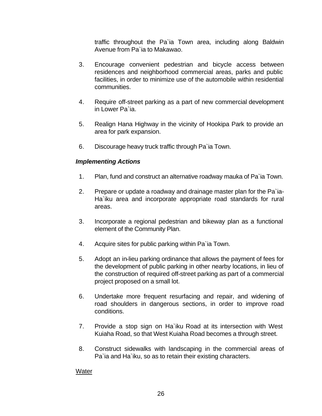traffic throughout the Pa`ia Town area, including along Baldwin Avenue from Pa`ia to Makawao.

- 3. Encourage convenient pedestrian and bicycle access between residences and neighborhood commercial areas, parks and public facilities, in order to minimize use of the automobile within residential communities.
- 4. Require off-street parking as a part of new commercial development in Lower Pa`ia.
- 5. Realign Hana Highway in the vicinity of Hookipa Park to provide an area for park expansion.
- 6. Discourage heavy truck traffic through Pa`ia Town.

# *Implementing Actions*

- 1. Plan, fund and construct an alternative roadway mauka of Pa`ia Town.
- 2. Prepare or update a roadway and drainage master plan for the Pa`ia-Ha`iku area and incorporate appropriate road standards for rural areas.
- 3. Incorporate a regional pedestrian and bikeway plan as a functional element of the Community Plan.
- 4. Acquire sites for public parking within Pa`ia Town.
- 5. Adopt an in-lieu parking ordinance that allows the payment of fees for the development of public parking in other nearby locations, in lieu of the construction of required off-street parking as part of a commercial project proposed on a small lot.
- 6. Undertake more frequent resurfacing and repair, and widening of road shoulders in dangerous sections, in order to improve road conditions.
- 7. Provide a stop sign on Ha`iku Road at its intersection with West Kuiaha Road, so that West Kuiaha Road becomes a through street.
- 8. Construct sidewalks with landscaping in the commercial areas of Pa`ia and Ha`iku, so as to retain their existing characters.

### Water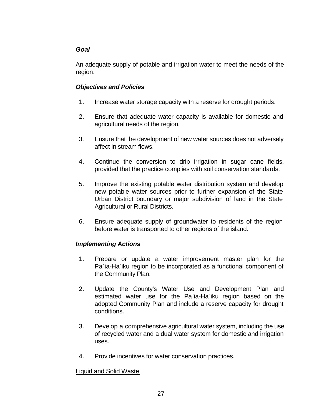# *Goal*

An adequate supply of potable and irrigation water to meet the needs of the region.

# *Objectives and Policies*

- 1. Increase water storage capacity with a reserve for drought periods.
- 2. Ensure that adequate water capacity is available for domestic and agricultural needs of the region.
- 3. Ensure that the development of new water sources does not adversely affect in-stream flows.
- 4. Continue the conversion to drip irrigation in sugar cane fields, provided that the practice complies with soil conservation standards.
- 5. Improve the existing potable water distribution system and develop new potable water sources prior to further expansion of the State Urban District boundary or major subdivision of land in the State Agricultural or Rural Districts.
- 6. Ensure adequate supply of groundwater to residents of the region before water is transported to other regions of the island.

# *Implementing Actions*

- 1. Prepare or update a water improvement master plan for the Pa`ia-Ha`iku region to be incorporated as a functional component of the Community Plan.
- 2. Update the County's Water Use and Development Plan and estimated water use for the Pa`ia-Ha`iku region based on the adopted Community Plan and include a reserve capacity for drought conditions.
- 3. Develop a comprehensive agricultural water system, including the use of recycled water and a dual water system for domestic and irrigation uses.
- 4. Provide incentives for water conservation practices.

# Liquid and Solid Waste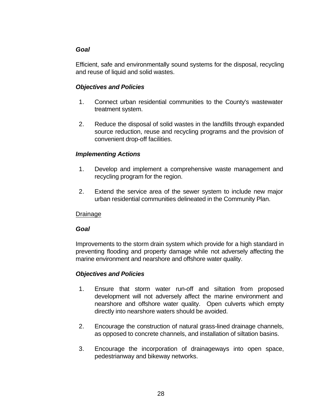# *Goal*

Efficient, safe and environmentally sound systems for the disposal, recycling and reuse of liquid and solid wastes.

# *Objectives and Policies*

- 1. Connect urban residential communities to the County's wastewater treatment system.
- 2. Reduce the disposal of solid wastes in the landfills through expanded source reduction, reuse and recycling programs and the provision of convenient drop-off facilities.

# *Implementing Actions*

- 1. Develop and implement a comprehensive waste management and recycling program for the region.
- 2. Extend the service area of the sewer system to include new major urban residential communities delineated in the Community Plan.

# Drainage

# *Goal*

Improvements to the storm drain system which provide for a high standard in preventing flooding and property damage while not adversely affecting the marine environment and nearshore and offshore water quality.

- 1. Ensure that storm water run-off and siltation from proposed development will not adversely affect the marine environment and nearshore and offshore water quality. Open culverts which empty directly into nearshore waters should be avoided.
- 2. Encourage the construction of natural grass-lined drainage channels, as opposed to concrete channels, and installation of siltation basins.
- 3. Encourage the incorporation of drainageways into open space, pedestrianway and bikeway networks.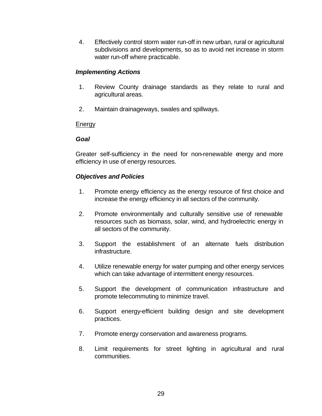4. Effectively control storm water run-off in new urban, rural or agricultural subdivisions and developments, so as to avoid net increase in storm water run-off where practicable.

### *Implementing Actions*

- 1. Review County drainage standards as they relate to rural and agricultural areas.
- 2. Maintain drainageways, swales and spillways.

# **Energy**

### *Goal*

Greater self-sufficiency in the need for non-renewable energy and more efficiency in use of energy resources.

- 1. Promote energy efficiency as the energy resource of first choice and increase the energy efficiency in all sectors of the community.
- 2. Promote environmentally and culturally sensitive use of renewable resources such as biomass, solar, wind, and hydroelectric energy in all sectors of the community.
- 3. Support the establishment of an alternate fuels distribution infrastructure.
- 4. Utilize renewable energy for water pumping and other energy services which can take advantage of intermittent energy resources.
- 5. Support the development of communication infrastructure and promote telecommuting to minimize travel.
- 6. Support energy-efficient building design and site development practices.
- 7. Promote energy conservation and awareness programs.
- 8. Limit requirements for street lighting in agricultural and rural communities.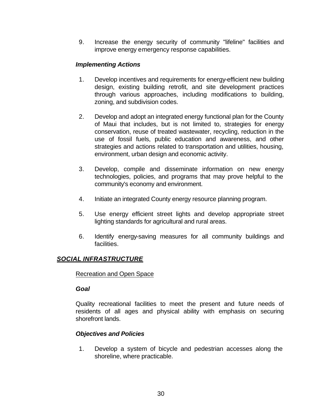9. Increase the energy security of community "lifeline" facilities and improve energy emergency response capabilities.

# *Implementing Actions*

- 1. Develop incentives and requirements for energy-efficient new building design, existing building retrofit, and site development practices through various approaches, including modifications to building, zoning, and subdivision codes.
- 2. Develop and adopt an integrated energy functional plan for the County of Maui that includes, but is not limited to, strategies for energy conservation, reuse of treated wastewater, recycling, reduction in the use of fossil fuels, public education and awareness, and other strategies and actions related to transportation and utilities, housing, environment, urban design and economic activity.
- 3. Develop, compile and disseminate information on new energy technologies, policies, and programs that may prove helpful to the community's economy and environment.
- 4. Initiate an integrated County energy resource planning program.
- 5. Use energy efficient street lights and develop appropriate street lighting standards for agricultural and rural areas.
- 6. Identify energy-saving measures for all community buildings and facilities.

# *SOCIAL INFRASTRUCTURE*

### Recreation and Open Space

#### *Goal*

Quality recreational facilities to meet the present and future needs of residents of all ages and physical ability with emphasis on securing shorefront lands.

### *Objectives and Policies*

 1. Develop a system of bicycle and pedestrian accesses along the shoreline, where practicable.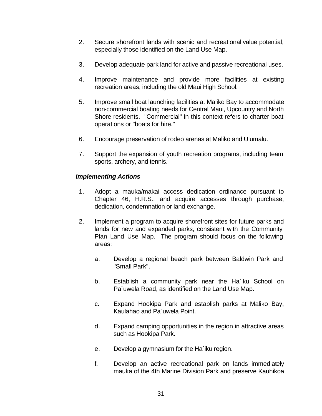- 2. Secure shorefront lands with scenic and recreational value potential, especially those identified on the Land Use Map.
- 3. Develop adequate park land for active and passive recreational uses.
- 4. Improve maintenance and provide more facilities at existing recreation areas, including the old Maui High School.
- 5. Improve small boat launching facilities at Maliko Bay to accommodate non-commercial boating needs for Central Maui, Upcountry and North Shore residents. "Commercial" in this context refers to charter boat operations or "boats for hire."
- 6. Encourage preservation of rodeo arenas at Maliko and Ulumalu.
- 7. Support the expansion of youth recreation programs, including team sports, archery, and tennis.

# *Implementing Actions*

- 1. Adopt a mauka/makai access dedication ordinance pursuant to Chapter 46, H.R.S., and acquire accesses through purchase, dedication, condemnation or land exchange.
- 2. Implement a program to acquire shorefront sites for future parks and lands for new and expanded parks, consistent with the Community Plan Land Use Map. The program should focus on the following areas:
	- a. Develop a regional beach park between Baldwin Park and "Small Park".
	- b. Establish a community park near the Ha`iku School on Pa`uwela Road, as identified on the Land Use Map.
	- c. Expand Hookipa Park and establish parks at Maliko Bay, Kaulahao and Pa`uwela Point.
	- d. Expand camping opportunities in the region in attractive areas such as Hookipa Park.
	- e. Develop a gymnasium for the Ha`iku region.
	- f. Develop an active recreational park on lands immediately mauka of the 4th Marine Division Park and preserve Kauhikoa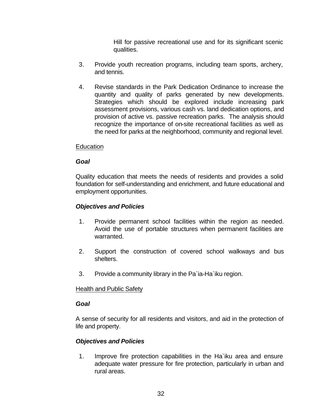Hill for passive recreational use and for its significant scenic qualities.

- 3. Provide youth recreation programs, including team sports, archery, and tennis.
- 4. Revise standards in the Park Dedication Ordinance to increase the quantity and quality of parks generated by new developments. Strategies which should be explored include increasing park assessment provisions, various cash vs. land dedication options, and provision of active vs. passive recreation parks. The analysis should recognize the importance of on-site recreational facilities as well as the need for parks at the neighborhood, community and regional level.

# **Education**

# *Goal*

Quality education that meets the needs of residents and provides a solid foundation for self-understanding and enrichment, and future educational and employment opportunities.

# *Objectives and Policies*

- 1. Provide permanent school facilities within the region as needed. Avoid the use of portable structures when permanent facilities are warranted.
- 2. Support the construction of covered school walkways and bus shelters.
- 3. Provide a community library in the Pa`ia-Ha`iku region.

### Health and Public Safety

### *Goal*

A sense of security for all residents and visitors, and aid in the protection of life and property.

# *Objectives and Policies*

 1. Improve fire protection capabilities in the Ha`iku area and ensure adequate water pressure for fire protection, particularly in urban and rural areas.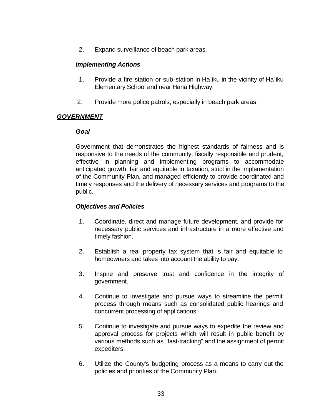2. Expand surveillance of beach park areas.

### *Implementing Actions*

- 1. Provide a fire station or sub-station in Ha`iku in the vicinity of Ha`iku Elementary School and near Hana Highway.
- 2. Provide more police patrols, especially in beach park areas.

# *GOVERNMENT*

# *Goal*

Government that demonstrates the highest standards of fairness and is responsive to the needs of the community, fiscally responsible and prudent, effective in planning and implementing programs to accommodate anticipated growth, fair and equitable in taxation, strict in the implementation of the Community Plan, and managed efficiently to provide coordinated and timely responses and the delivery of necessary services and programs to the public.

- 1. Coordinate, direct and manage future development, and provide for necessary public services and infrastructure in a more effective and timely fashion.
- 2. Establish a real property tax system that is fair and equitable to homeowners and takes into account the ability to pay.
- 3. Inspire and preserve trust and confidence in the integrity of government.
- 4. Continue to investigate and pursue ways to streamline the permit process through means such as consolidated public hearings and concurrent processing of applications.
- 5. Continue to investigate and pursue ways to expedite the review and approval process for projects which will result in public benefit by various methods such as "fast-tracking" and the assignment of permit expediters.
- 6. Utilize the County's budgeting process as a means to carry out the policies and priorities of the Community Plan.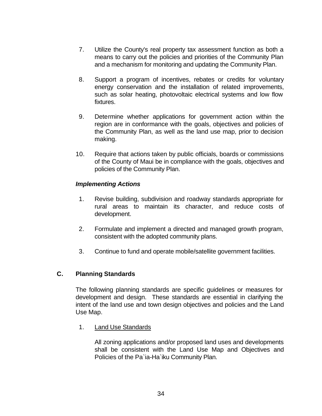- 7. Utilize the County's real property tax assessment function as both a means to carry out the policies and priorities of the Community Plan and a mechanism for monitoring and updating the Community Plan.
- 8. Support a program of incentives, rebates or credits for voluntary energy conservation and the installation of related improvements, such as solar heating, photovoltaic electrical systems and low flow fixtures.
- 9. Determine whether applications for government action within the region are in conformance with the goals, objectives and policies of the Community Plan, as well as the land use map, prior to decision making.
- 10. Require that actions taken by public officials, boards or commissions of the County of Maui be in compliance with the goals, objectives and policies of the Community Plan.

# *Implementing Actions*

- 1. Revise building, subdivision and roadway standards appropriate for rural areas to maintain its character, and reduce costs of development.
- 2. Formulate and implement a directed and managed growth program, consistent with the adopted community plans.
- 3. Continue to fund and operate mobile/satellite government facilities.

### **C. Planning Standards**

The following planning standards are specific guidelines or measures for development and design. These standards are essential in clarifying the intent of the land use and town design objectives and policies and the Land Use Map.

1. Land Use Standards

All zoning applications and/or proposed land uses and developments shall be consistent with the Land Use Map and Objectives and Policies of the Pa`ia-Ha`iku Community Plan.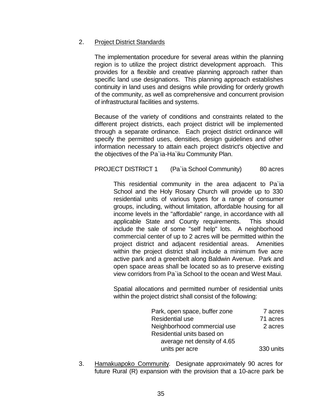### 2. Project District Standards

The implementation procedure for several areas within the planning region is to utilize the project district development approach. This provides for a flexible and creative planning approach rather than specific land use designations. This planning approach establishes continuity in land uses and designs while providing for orderly growth of the community, as well as comprehensive and concurrent provision of infrastructural facilities and systems.

Because of the variety of conditions and constraints related to the different project districts, each project district will be implemented through a separate ordinance. Each project district ordinance will specify the permitted uses, densities, design guidelines and other information necessary to attain each project district's objective and the objectives of the Pa`ia-Ha`iku Community Plan.

# PROJECT DISTRICT 1 (Pa`ia School Community) 80 acres

This residential community in the area adjacent to Pa`ia School and the Holy Rosary Church will provide up to 330 residential units of various types for a range of consumer groups, including, without limitation, affordable housing for all income levels in the "affordable" range, in accordance with all applicable State and County requirements. This should include the sale of some "self help" lots. A neighborhood commercial center of up to 2 acres will be permitted within the project district and adjacent residential areas. Amenities within the project district shall include a minimum five acre active park and a greenbelt along Baldwin Avenue. Park and open space areas shall be located so as to preserve existing view corridors from Pa`ia School to the ocean and West Maui.

Spatial allocations and permitted number of residential units within the project district shall consist of the following:

| Park, open space, buffer zone | 7 acres   |
|-------------------------------|-----------|
| <b>Residential use</b>        | 71 acres  |
| Neighborhood commercial use   | 2 acres   |
| Residential units based on    |           |
| average net density of 4.65   |           |
| units per acre                | 330 units |

 3. Hamakuapoko Community. Designate approximately 90 acres for future Rural (R) expansion with the provision that a 10-acre park be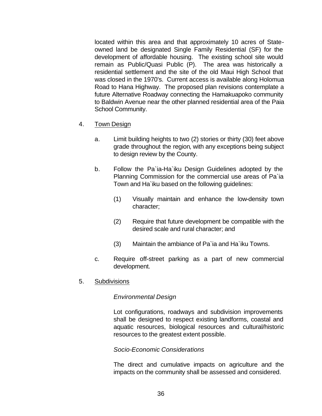located within this area and that approximately 10 acres of Stateowned land be designated Single Family Residential (SF) for the development of affordable housing. The existing school site would remain as Public/Quasi Public (P). The area was historically a residential settlement and the site of the old Maui High School that was closed in the 1970's. Current access is available along Holomua Road to Hana Highway. The proposed plan revisions contemplate a future Alternative Roadway connecting the Hamakuapoko community to Baldwin Avenue near the other planned residential area of the Paia School Community.

- 4. Town Design
	- a. Limit building heights to two (2) stories or thirty (30) feet above grade throughout the region, with any exceptions being subject to design review by the County.
	- b. Follow the Pa`ia-Ha`iku Design Guidelines adopted by the Planning Commission for the commercial use areas of Pa`ia Town and Ha`iku based on the following guidelines:
		- (1) Visually maintain and enhance the low-density town character;
		- (2) Require that future development be compatible with the desired scale and rural character; and
		- (3) Maintain the ambiance of Pa`ia and Ha`iku Towns.
	- c. Require off-street parking as a part of new commercial development.
- 5. Subdivisions

### *Environmental Design*

Lot configurations, roadways and subdivision improvements shall be designed to respect existing landforms, coastal and aquatic resources, biological resources and cultural/historic resources to the greatest extent possible.

### *Socio-Economic Considerations*

The direct and cumulative impacts on agriculture and the impacts on the community shall be assessed and considered.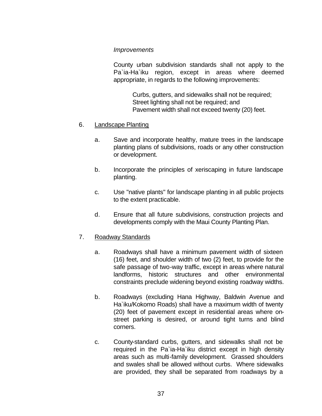#### *Improvements*

County urban subdivision standards shall not apply to the Pa`ia-Ha`iku region, except in areas where deemed appropriate, in regards to the following improvements:

> Curbs, gutters, and sidewalks shall not be required; Street lighting shall not be required; and Pavement width shall not exceed twenty (20) feet.

### 6. Landscape Planting

- a. Save and incorporate healthy, mature trees in the landscape planting plans of subdivisions, roads or any other construction or development.
- b. Incorporate the principles of xeriscaping in future landscape planting.
- c. Use "native plants" for landscape planting in all public projects to the extent practicable.
- d. Ensure that all future subdivisions, construction projects and developments comply with the Maui County Planting Plan.

### 7. Roadway Standards

- a. Roadways shall have a minimum pavement width of sixteen (16) feet, and shoulder width of two (2) feet, to provide for the safe passage of two-way traffic, except in areas where natural landforms, historic structures and other environmental constraints preclude widening beyond existing roadway widths.
- b. Roadways (excluding Hana Highway, Baldwin Avenue and Ha`iku/Kokomo Roads) shall have a maximum width of twenty (20) feet of pavement except in residential areas where onstreet parking is desired, or around tight turns and blind corners.
- c. County-standard curbs, gutters, and sidewalks shall not be required in the Pa`ia-Ha`iku district except in high density areas such as multi-family development. Grassed shoulders and swales shall be allowed without curbs. Where sidewalks are provided, they shall be separated from roadways by a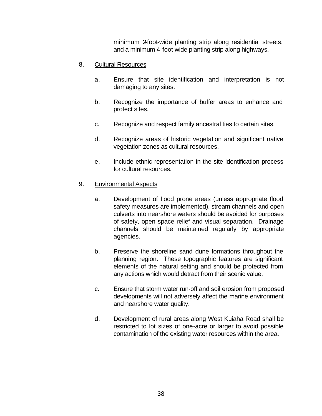minimum 2-foot-wide planting strip along residential streets, and a minimum 4-foot-wide planting strip along highways.

### 8. Cultural Resources

- a. Ensure that site identification and interpretation is not damaging to any sites.
- b. Recognize the importance of buffer areas to enhance and protect sites.
- c. Recognize and respect family ancestral ties to certain sites.
- d. Recognize areas of historic vegetation and significant native vegetation zones as cultural resources.
- e. Include ethnic representation in the site identification process for cultural resources.

### 9. Environmental Aspects

- a. Development of flood prone areas (unless appropriate flood safety measures are implemented), stream channels and open culverts into nearshore waters should be avoided for purposes of safety, open space relief and visual separation. Drainage channels should be maintained regularly by appropriate agencies.
- b. Preserve the shoreline sand dune formations throughout the planning region. These topographic features are significant elements of the natural setting and should be protected from any actions which would detract from their scenic value.
- c. Ensure that storm water run-off and soil erosion from proposed developments will not adversely affect the marine environment and nearshore water quality.
- d. Development of rural areas along West Kuiaha Road shall be restricted to lot sizes of one-acre or larger to avoid possible contamination of the existing water resources within the area.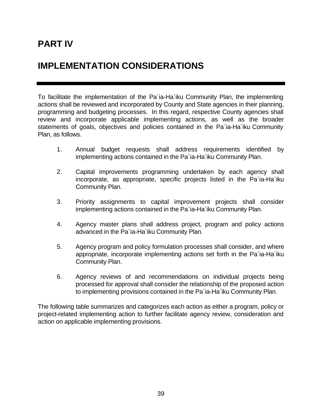# **PART IV**

# **IMPLEMENTATION CONSIDERATIONS**

To facilitate the implementation of the Pa`ia-Ha`iku Community Plan, the implementing actions shall be reviewed and incorporated by County and State agencies in their planning, programming and budgeting processes. In this regard, respective County agencies shall review and incorporate applicable implementing actions, as well as the broader statements of goals, objectives and policies contained in the Pa`ia-Ha`iku Community Plan, as follows.

- 1. Annual budget requests shall address requirements identified by implementing actions contained in the Pa`ia-Ha`iku Community Plan.
- 2. Capital improvements programming undertaken by each agency shall incorporate, as appropriate, specific projects listed in the Pa`ia-Ha`iku Community Plan.
- 3. Priority assignments to capital improvement projects shall consider implementing actions contained in the Pa`ia-Ha`iku Community Plan.
- 4. Agency master plans shall address project, program and policy actions advanced in the Pa`ia-Ha`iku Community Plan.
- 5. Agency program and policy formulation processes shall consider, and where appropriate, incorporate implementing actions set forth in the Pa`ia-Ha`iku Community Plan.
- 6. Agency reviews of and recommendations on individual projects being processed for approval shall consider the relationship of the proposed action to implementing provisions contained in the Pa`ia-Ha`iku Community Plan.

The following table summarizes and categorizes each action as either a program, policy or project-related implementing action to further facilitate agency review, consideration and action on applicable implementing provisions.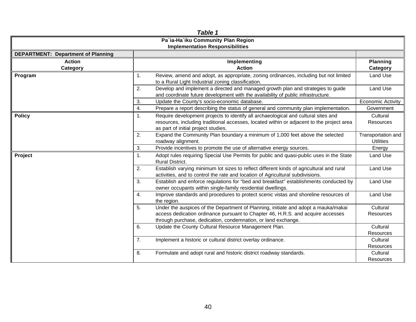| Table 1                                   |                                                                                                                                                                                                                                              |                                        |  |  |  |  |
|-------------------------------------------|----------------------------------------------------------------------------------------------------------------------------------------------------------------------------------------------------------------------------------------------|----------------------------------------|--|--|--|--|
| Pa'ia-Ha'iku Community Plan Region        |                                                                                                                                                                                                                                              |                                        |  |  |  |  |
| <b>Implementation Responsibilities</b>    |                                                                                                                                                                                                                                              |                                        |  |  |  |  |
| <b>DEPARTMENT: Department of Planning</b> |                                                                                                                                                                                                                                              |                                        |  |  |  |  |
| <b>Action</b><br>Category                 | Implementing<br><b>Action</b>                                                                                                                                                                                                                | <b>Planning</b><br>Category            |  |  |  |  |
| Program                                   | Review, amend and adopt, as appropriate, zoning ordinances, including but not limited<br>1.<br>to a Rural Light Industrial zoning classification.                                                                                            | Land Use                               |  |  |  |  |
|                                           | 2.<br>Develop and implement a directed and managed growth plan and strategies to guide<br>and coordinate future development with the availability of public infrastructure.                                                                  | Land Use                               |  |  |  |  |
|                                           | 3.<br>Update the County's socio-economic database.                                                                                                                                                                                           | <b>Economic Activity</b>               |  |  |  |  |
|                                           | 4.<br>Prepare a report describing the status of general and community plan implementation.                                                                                                                                                   | Government                             |  |  |  |  |
| <b>Policy</b>                             | Require development projects to identify all archaeological and cultural sites and<br>1.<br>resources, including traditional accesses, located within or adjacent to the project area<br>as part of initial project studies.                 | Cultural<br><b>Resources</b>           |  |  |  |  |
|                                           | Expand the Community Plan boundary a minimum of 1,000 feet above the selected<br>2.<br>roadway alignment.                                                                                                                                    | Transportation and<br><b>Utilities</b> |  |  |  |  |
|                                           | 3.<br>Provide incentives to promote the use of alternative energy sources.                                                                                                                                                                   | Energy                                 |  |  |  |  |
| Project                                   | Adopt rules requiring Special Use Permits for public and quasi-public uses in the State<br>1.<br><b>Rural District.</b>                                                                                                                      | Land Use                               |  |  |  |  |
|                                           | Establish varying minimum lot sizes to reflect different kinds of agricultural and rural<br>2.<br>activities, and to control the rate and location of Agricultural subdivisions.                                                             | Land Use                               |  |  |  |  |
|                                           | Establish and enforce regulations for "bed and breakfast" establishments conducted by<br>3.<br>owner occupants within single-family residential dwellings.                                                                                   | Land Use                               |  |  |  |  |
|                                           | Improve standards and procedures to protect scenic vistas and shoreline resources of<br>4.<br>the region.                                                                                                                                    | Land Use                               |  |  |  |  |
|                                           | Under the auspices of the Department of Planning, initiate and adopt a mauka/makai<br>5.<br>access dedication ordinance pursuant to Chapter 46, H.R.S. and acquire accesses<br>through purchase, dedication, condemnation, or land exchange. | Cultural<br>Resources                  |  |  |  |  |
|                                           | 6.<br>Update the County Cultural Resource Management Plan.                                                                                                                                                                                   | Cultural<br>Resources                  |  |  |  |  |
|                                           | 7.<br>Implement a historic or cultural district overlay ordinance.                                                                                                                                                                           | Cultural<br>Resources                  |  |  |  |  |
|                                           | Formulate and adopt rural and historic district roadway standards.<br>8.                                                                                                                                                                     | Cultural<br><b>Resources</b>           |  |  |  |  |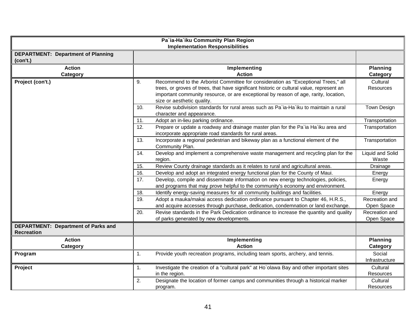| Pa'ia-Ha'iku Community Plan Region<br><b>Implementation Responsibilities</b> |                                                                                                                                                                                                                                                                                                            |                                  |  |  |  |
|------------------------------------------------------------------------------|------------------------------------------------------------------------------------------------------------------------------------------------------------------------------------------------------------------------------------------------------------------------------------------------------------|----------------------------------|--|--|--|
| <b>DEPARTMENT: Department of Planning</b><br>(con't.)                        |                                                                                                                                                                                                                                                                                                            |                                  |  |  |  |
| <b>Action</b><br>Category                                                    | Implementing<br><b>Action</b>                                                                                                                                                                                                                                                                              | <b>Planning</b><br>Category      |  |  |  |
| Project (con't.)                                                             | Recommend to the Arborist Committee for consideration as "Exceptional Trees," all<br>9.<br>trees, or groves of trees, that have significant historic or cultural value, represent an<br>important community resource, or are exceptional by reason of age, rarity, location,<br>size or aesthetic quality. | Cultural<br>Resources            |  |  |  |
|                                                                              | Revise subdivision standards for rural areas such as Pa`ia-Ha`iku to maintain a rural<br>10.<br>character and appearance.                                                                                                                                                                                  | Town Design                      |  |  |  |
|                                                                              | 11.<br>Adopt an in-lieu parking ordinance.<br>Prepare or update a roadway and drainage master plan for the Pa'ia Ha'iku area and<br>12.<br>incorporate appropriate road standards for rural areas.                                                                                                         | Transportation<br>Transportation |  |  |  |
|                                                                              | 13.<br>Incorporate a regional pedestrian and bikeway plan as a functional element of the<br>Transportation<br>Community Plan.                                                                                                                                                                              |                                  |  |  |  |
|                                                                              | 14.<br>Develop and implement a comprehensive waste management and recycling plan for the<br>Liquid and Solid<br>region.                                                                                                                                                                                    |                                  |  |  |  |
|                                                                              | Review County drainage standards as it relates to rural and agricultural areas.<br>15.                                                                                                                                                                                                                     | Drainage                         |  |  |  |
|                                                                              | 16.<br>Develop and adopt an integrated energy functional plan for the County of Maui.                                                                                                                                                                                                                      | Energy                           |  |  |  |
|                                                                              | Develop, compile and disseminate information on new energy technologies, policies,<br>17.<br>and programs that may prove helpful to the community's economy and environment.                                                                                                                               |                                  |  |  |  |
|                                                                              | Identify energy-saving measures for all community buildings and facilities.<br>18.                                                                                                                                                                                                                         | Energy                           |  |  |  |
|                                                                              | Adopt a mauka/makai access dedication ordinance pursuant to Chapter 46, H.R.S.,<br>19.<br>and acquire accesses through purchase, dedication, condemnation or land exchange.                                                                                                                                | Recreation and<br>Open Space     |  |  |  |
|                                                                              | 20.<br>Revise standards in the Park Dedication ordinance to increase the quantity and quality<br>of parks generated by new developments.                                                                                                                                                                   | Recreation and<br>Open Space     |  |  |  |
| DEPARTMENT: Department of Parks and<br><b>Recreation</b>                     |                                                                                                                                                                                                                                                                                                            |                                  |  |  |  |
| <b>Action</b><br><b>Category</b>                                             | Implementing<br><b>Action</b>                                                                                                                                                                                                                                                                              | <b>Planning</b><br>Category      |  |  |  |
| Program                                                                      | Provide youth recreation programs, including team sports, archery, and tennis.<br>1.                                                                                                                                                                                                                       | Social<br>Infrastructure         |  |  |  |
| Project                                                                      | Investigate the creation of a "cultural park" at Ho`olawa Bay and other important sites<br>1.<br>in the region.                                                                                                                                                                                            |                                  |  |  |  |
|                                                                              | 2.<br>Designate the location of former camps and communities through a historical marker<br>program.                                                                                                                                                                                                       | Cultural<br>Resources            |  |  |  |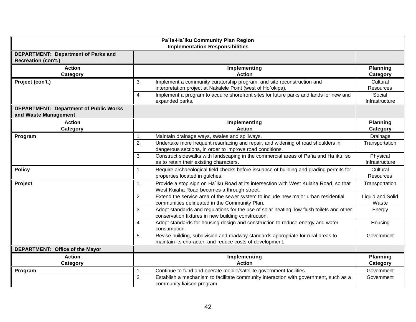| Pa'ia-Ha'iku Community Plan Region<br><b>Implementation Responsibilities</b> |                                                                                                                                                        |                             |  |  |  |
|------------------------------------------------------------------------------|--------------------------------------------------------------------------------------------------------------------------------------------------------|-----------------------------|--|--|--|
| DEPARTMENT: Department of Parks and<br><b>Recreation (con't.)</b>            |                                                                                                                                                        |                             |  |  |  |
| <b>Action</b><br>Category                                                    | Implementing<br><b>Action</b>                                                                                                                          | <b>Planning</b><br>Category |  |  |  |
| Project (con't.)                                                             | Implement a community curatorship program, and site reconstruction and<br>3.<br>interpretation project at Nakalele Point (west of Ho`okipa).           | Cultural<br>Resources       |  |  |  |
|                                                                              | Implement a program to acquire shorefront sites for future parks and lands for new and<br>4.<br>expanded parks.                                        | Social<br>Infrastructure    |  |  |  |
| <b>DEPARTMENT: Department of Public Works</b><br>and Waste Management        |                                                                                                                                                        |                             |  |  |  |
| <b>Action</b><br>Category                                                    | Implementing<br><b>Action</b>                                                                                                                          | <b>Planning</b><br>Category |  |  |  |
| Program                                                                      | Maintain drainage ways, swales and spillways.<br>1.                                                                                                    | Drainage                    |  |  |  |
|                                                                              | 2.<br>Undertake more frequent resurfacing and repair, and widening of road shoulders in<br>dangerous sections, in order to improve road conditions.    | Transportation              |  |  |  |
|                                                                              | Construct sidewalks with landscaping in the commercial areas of Pa'ia and Ha'iku, so<br>3.<br>as to retain their existing characters.                  | Physical<br>Infrastructure  |  |  |  |
| <b>Policy</b>                                                                | Require archaeological field checks before issuance of building and grading permits for<br>1.<br>properties located in gulches.                        | Cultural<br>Resources       |  |  |  |
| Project                                                                      | Provide a stop sign on Ha'iku Road at its intersection with West Kuiaha Road, so that<br>1.<br>West Kuiaha Road becomes a through street.              | Transportation              |  |  |  |
|                                                                              | Extend the service area of the sewer system to include new major urban residential<br>2.<br>communities delineated in the Community Plan.              | Liquid and Solid<br>Waste   |  |  |  |
|                                                                              | Adopt standards and regulations for the use of solar heating, low flush toilets and other<br>3.<br>conservation fixtures in new building construction. | Energy                      |  |  |  |
|                                                                              | Adopt standards for housing design and construction to reduce energy and water<br>4.<br>consumption.                                                   | Housing                     |  |  |  |
|                                                                              | Revise building, subdivision and roadway standards appropriate for rural areas to<br>5.<br>maintain its character, and reduce costs of development.    | Government                  |  |  |  |
| DEPARTMENT: Office of the Mayor                                              |                                                                                                                                                        |                             |  |  |  |
| <b>Action</b><br><b>Category</b>                                             | Implementing<br><b>Action</b>                                                                                                                          |                             |  |  |  |
| Program                                                                      | Continue to fund and operate mobile/satellite government facilities.<br>1.                                                                             | Category<br>Government      |  |  |  |
|                                                                              | 2.<br>Establish a mechanism to facilitate community interaction with government, such as a<br>community liaison program.                               | Government                  |  |  |  |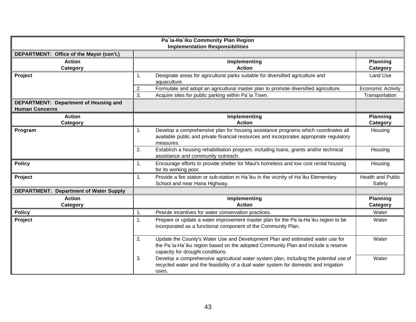| Pa'ia-Ha'iku Community Plan Region<br><b>Implementation Responsibilities</b> |                                                                                                                                                                                                               |                                      |  |  |  |  |  |
|------------------------------------------------------------------------------|---------------------------------------------------------------------------------------------------------------------------------------------------------------------------------------------------------------|--------------------------------------|--|--|--|--|--|
| DEPARTMENT: Office of the Mayor (con't.)                                     |                                                                                                                                                                                                               |                                      |  |  |  |  |  |
| <b>Action</b><br>Category                                                    | Implementing<br><b>Action</b>                                                                                                                                                                                 | <b>Planning</b><br>Category          |  |  |  |  |  |
| Project                                                                      | Designate areas for agricultural parks suitable for diversified agriculture and<br>1.<br>aquaculture.<br>Formulate and adopt an agricultural master plan to promote diversified agriculture.<br>2.            | Land Use<br><b>Economic Activity</b> |  |  |  |  |  |
|                                                                              | 3.<br>Acquire sites for public parking within Pa'ia Town.                                                                                                                                                     | Transportation                       |  |  |  |  |  |
| DEPARTMENT: Department of Housing and<br><b>Human Concerns</b>               |                                                                                                                                                                                                               |                                      |  |  |  |  |  |
| <b>Action</b><br>Category                                                    | Implementing<br><b>Action</b>                                                                                                                                                                                 | <b>Planning</b><br>Category          |  |  |  |  |  |
| Program                                                                      | Develop a comprehensive plan for housing assistance programs which coordinates all<br>$\mathbf{1}$ .<br>available public and private financial resources and incorporates appropriate regulatory<br>measures. | Housing                              |  |  |  |  |  |
|                                                                              | Establish a housing rehabilitation program, including loans, grants and/or technical<br>2.<br>assistance and community outreach.                                                                              | Housing                              |  |  |  |  |  |
| <b>Policy</b>                                                                | Encourage efforts to provide shelter for Maui's homeless and low cost rental housing<br>1.<br>for its working poor.                                                                                           | Housing                              |  |  |  |  |  |
| Project                                                                      | Provide a fire station or sub-station in Ha'iku in the vicinity of Ha'iku Elementary<br>1.<br>School and near Hana Highway.                                                                                   | <b>Health and Public</b><br>Safety   |  |  |  |  |  |
| <b>DEPARTMENT: Department of Water Supply</b>                                |                                                                                                                                                                                                               |                                      |  |  |  |  |  |
| <b>Action</b><br>Category                                                    | Implementing<br><b>Action</b>                                                                                                                                                                                 | <b>Planning</b><br>Category          |  |  |  |  |  |
| <b>Policy</b>                                                                | Provide incentives for water conservation practices.<br>1.                                                                                                                                                    | Water                                |  |  |  |  |  |
| Project                                                                      | Prepare or update a water improvement master plan for the Pa`ia-Ha`iku region to be<br>$\mathbf{1}$ .<br>incorporated as a functional component of the Community Plan.                                        | Water                                |  |  |  |  |  |
|                                                                              | Update the County's Water Use and Development Plan and estimated water use for<br>2.<br>the Pa'ia-Ha'iku region based on the adopted Community Plan and include a reserve<br>capacity for drought conditions. | Water                                |  |  |  |  |  |
|                                                                              | Develop a comprehensive agricultural water system plan, including the potential use of<br>3.<br>recycled water and the feasibility of a dual water system for domestic and irrigation<br>uses.                | Water                                |  |  |  |  |  |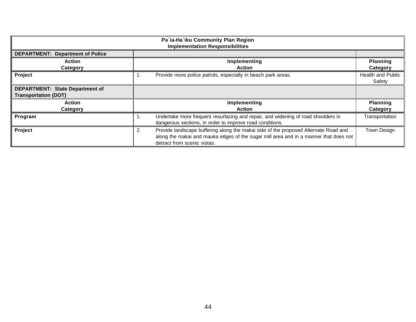| Pa'ia-Ha'iku Community Plan Region<br><b>Implementation Responsibilities</b> |                                                                                                                                                                                                                  |                                    |  |  |  |
|------------------------------------------------------------------------------|------------------------------------------------------------------------------------------------------------------------------------------------------------------------------------------------------------------|------------------------------------|--|--|--|
| <b>DEPARTMENT: Department of Police</b>                                      |                                                                                                                                                                                                                  |                                    |  |  |  |
| <b>Action</b><br>Category                                                    | Implementing<br><b>Action</b>                                                                                                                                                                                    | <b>Planning</b><br>Category        |  |  |  |
| Project                                                                      | Provide more police patrols, especially in beach park areas.<br>1.                                                                                                                                               | <b>Health and Public</b><br>Safety |  |  |  |
| DEPARTMENT: State Department of<br><b>Transportation (DOT)</b>               |                                                                                                                                                                                                                  |                                    |  |  |  |
| <b>Action</b>                                                                | Implementing                                                                                                                                                                                                     | <b>Planning</b>                    |  |  |  |
| Category                                                                     | <b>Action</b>                                                                                                                                                                                                    | Category                           |  |  |  |
| Program                                                                      | Undertake more frequent resurfacing and repair, and widening of road shoulders in<br>ι.<br>dangerous sections, in order to improve road conditions.                                                              | Transportation                     |  |  |  |
| Project                                                                      | Provide landscape buffering along the makai side of the proposed Alternate Road and<br>2.<br>along the makai and mauka edges of the sugar mill area and in a manner that does not<br>detract from scenic vistas. | Town Design                        |  |  |  |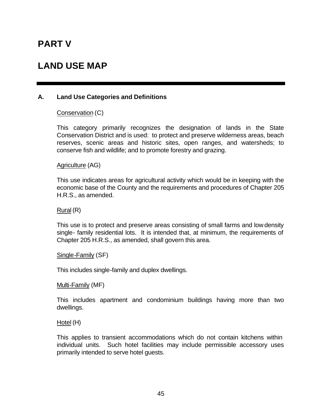# **PART V**

# **LAND USE MAP**

### **A. Land Use Categories and Definitions**

Conservation (C)

This category primarily recognizes the designation of lands in the State Conservation District and is used: to protect and preserve wilderness areas, beach reserves, scenic areas and historic sites, open ranges, and watersheds; to conserve fish and wildlife; and to promote forestry and grazing.

Agriculture (AG)

This use indicates areas for agricultural activity which would be in keeping with the economic base of the County and the requirements and procedures of Chapter 205 H.R.S., as amended.

Rural (R)

This use is to protect and preserve areas consisting of small farms and low density single- family residential lots. It is intended that, at minimum, the requirements of Chapter 205 H.R.S., as amended, shall govern this area.

Single-Family (SF)

This includes single-family and duplex dwellings.

Multi-Family (MF)

This includes apartment and condominium buildings having more than two dwellings.

Hotel (H)

This applies to transient accommodations which do not contain kitchens within individual units. Such hotel facilities may include permissible accessory uses primarily intended to serve hotel guests.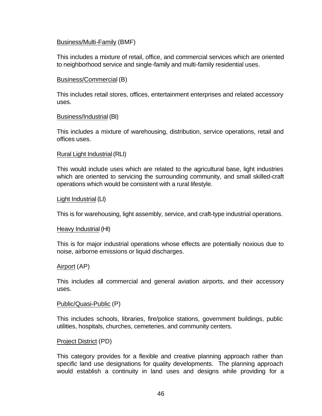#### Business/Multi-Family (BMF)

This includes a mixture of retail, office, and commercial services which are oriented to neighborhood service and single-family and multi-family residential uses.

#### Business/Commercial (B)

This includes retail stores, offices, entertainment enterprises and related accessory uses.

#### Business/Industrial (BI)

This includes a mixture of warehousing, distribution, service operations, retail and offices uses.

#### Rural Light Industrial (RLI)

This would include uses which are related to the agricultural base, light industries which are oriented to servicing the surrounding community, and small skilled-craft operations which would be consistent with a rural lifestyle.

#### Light Industrial (LI)

This is for warehousing, light assembly, service, and craft-type industrial operations.

#### Heavy Industrial (HI)

This is for major industrial operations whose effects are potentially noxious due to noise, airborne emissions or liquid discharges.

### Airport (AP)

This includes all commercial and general aviation airports, and their accessory uses.

#### Public/Quasi-Public (P)

This includes schools, libraries, fire/police stations, government buildings, public utilities, hospitals, churches, cemeteries, and community centers.

#### Project District (PD)

This category provides for a flexible and creative planning approach rather than specific land use designations for quality developments. The planning approach would establish a continuity in land uses and designs while providing for a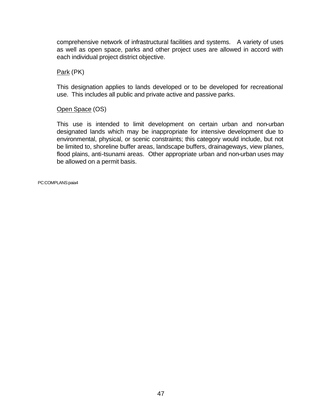comprehensive network of infrastructural facilities and systems. A variety of uses as well as open space, parks and other project uses are allowed in accord with each individual project district objective.

Park (PK)

This designation applies to lands developed or to be developed for recreational use. This includes all public and private active and passive parks.

Open Space (OS)

This use is intended to limit development on certain urban and non-urban designated lands which may be inappropriate for intensive development due to environmental, physical, or scenic constraints; this category would include, but not be limited to, shoreline buffer areas, landscape buffers, drainageways, view planes, flood plains, anti-tsunami areas. Other appropriate urban and non-urban uses may be allowed on a permit basis.

PC:COMPLANS:paia4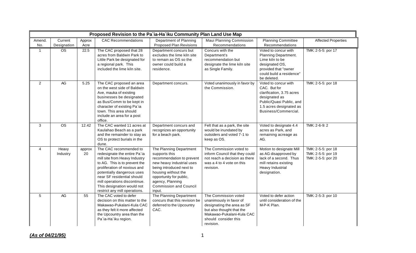|                | Proposed Revision to the Pa`ia-Ha`iku Community Plan Land Use Map |                |                                                                                                                                                                                                                                                                                                                     |                                                                                                                                                                                                                                                 |                                                                                                                                                                              |                                                                                                                                                                   |                                                                |
|----------------|-------------------------------------------------------------------|----------------|---------------------------------------------------------------------------------------------------------------------------------------------------------------------------------------------------------------------------------------------------------------------------------------------------------------------|-------------------------------------------------------------------------------------------------------------------------------------------------------------------------------------------------------------------------------------------------|------------------------------------------------------------------------------------------------------------------------------------------------------------------------------|-------------------------------------------------------------------------------------------------------------------------------------------------------------------|----------------------------------------------------------------|
| Amend.<br>No.  | Current<br>Designation                                            | Approx<br>Acre | <b>CAC Recommendations</b>                                                                                                                                                                                                                                                                                          | Department of Planning<br><b>Proposed Plan Revisions</b>                                                                                                                                                                                        | Maui Planning Commission<br>Recommendations                                                                                                                                  | <b>Planning Committee</b><br>Recommendations                                                                                                                      | <b>Affected Properties</b>                                     |
| $\mathbf{1}$   | $\overline{\text{OS}}$                                            | 22.5           | The CAC proposed that 28<br>acres from Baldwin Park to<br>Little Park be designated for<br>a regional park. This<br>included the lime kiln site.                                                                                                                                                                    | Department concurs but<br>excludes the lime kiln site<br>to remain as OS so the<br>owner could build a<br>residence.                                                                                                                            | Concurs with the<br>Department's<br>recommendation but<br>designate the lime kiln site<br>as Single Family.                                                                  | Voted to concur with<br>Planning Department.<br>Lime kiln to be<br>designated OS,<br>provided that "owner<br>could build a residence"<br>be deleted.              | TMK: 2-5-5: por 17                                             |
| $\overline{2}$ | AG                                                                | 5.25           | The CAC proposed an area<br>on the west side of Baldwin<br>Ave, mauka of existing<br>businesses be designated<br>as Bus/Comm to be kept in<br>character of existing Pa'ia<br>town. This area should<br>include an area for a post<br>office.                                                                        | Department concurs.                                                                                                                                                                                                                             | Voted unanimously in favor by<br>the Commission.                                                                                                                             | Voted to concur with<br>CAC. But for<br>clarification, 3.75 acres<br>designated as<br>Public/Quasi Public, and<br>1.5 acres designated as<br>Business/Commercial. | TMK: 2-5-5: por 18                                             |
| 3              | <b>OS</b>                                                         | 12.42          | The CAC wanted 11 acres at<br>Kaulahao Beach as a park<br>and the remainder to stay as<br>OS to protect burials in the<br>dune.                                                                                                                                                                                     | Department concurs and<br>recognizes an opportunity<br>for a beach park.                                                                                                                                                                        | Felt that as a park, the site<br>would be inundated by<br>outsiders and voted 7-1 to<br>keep as OS.                                                                          | Voted to designate 4.4<br>acres as Park, and<br>remaining acreage as<br>AG.                                                                                       | TMK: 2-6-9: 2                                                  |
| $\overline{4}$ | Heavy<br>Industry                                                 | approx<br>20   | The CAC recommended to<br>redesignate the entire Pa'ia<br>mill site from Heavy Industry<br>to AG. This is to prevent the<br>proliferation of noxious and<br>potentially dangerous uses<br>near SF residential should<br>mill operations discontinue.<br>This designation would not<br>restrict any mill operations. | The Planning Department<br>supports this<br>recommendation to prevent<br>new heavy industrial uses<br>being introduced next to<br>housing without the<br>opportunity for public,<br>agency, Planning<br><b>Commission and Council</b><br>input. | The Commission voted to<br>inform Council that they could<br>not reach a decision as there<br>was a 4 to 4 vote on this<br>revision.                                         | Motion to designate Mill<br>as AG disapproved by<br>lack of a second. Thus<br>mill retains existing<br>Heavy Industrial<br>designation.                           | TMK: 2-5-5: por 18<br>TMK: 2-5-5: por 19<br>TMK: 2-5-5: por 20 |
| 5              | AG                                                                | 55             | The CAC voted to defer<br>decision on this matter to the<br>Makawao-Pukalani-Kula CAC<br>as they felt it more affected<br>the Upcountry area than the<br>Pa'ia-Ha'iku region.                                                                                                                                       | The Planning Department<br>concurs that this revision be<br>deferred to the Upcountry<br>CAC.                                                                                                                                                   | The Commission voted<br>unanimously in favor of<br>designating the area as SF<br>but also thought that the<br>Makawao-Pukalani-Kula CAC<br>should consider this<br>revision. | Voted to defer action<br>until consideration of the<br>M-P-K Plan.                                                                                                | TMK: 2-5-3: por 10                                             |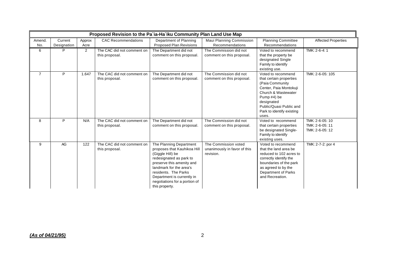|                | Proposed Revision to the Pa'ia-Ha'iku Community Plan Land Use Map |                |                                              |                                                                                                                                                                                                                                                                        |                                                                   |                                                                                                                                                                                                                 |                                                       |  |
|----------------|-------------------------------------------------------------------|----------------|----------------------------------------------|------------------------------------------------------------------------------------------------------------------------------------------------------------------------------------------------------------------------------------------------------------------------|-------------------------------------------------------------------|-----------------------------------------------------------------------------------------------------------------------------------------------------------------------------------------------------------------|-------------------------------------------------------|--|
| Amend.<br>No.  | Current<br>Designation                                            | Approx<br>Acre | <b>CAC Recommendations</b>                   | Department of Planning<br><b>Proposed Plan Revisions</b>                                                                                                                                                                                                               | Maui Planning Commission<br>Recommendations                       | <b>Planning Committee</b><br>Recommendations                                                                                                                                                                    | <b>Affected Properties</b>                            |  |
| 6              | P                                                                 | 2              | The CAC did not comment on<br>this proposal. | The Department did not<br>comment on this proposal.                                                                                                                                                                                                                    | The Commission did not<br>comment on this proposal.               | Voted to recommend<br>that the property be<br>designated Single<br>Family to identify<br>existing use.                                                                                                          | TMK: 2-6-4: 1                                         |  |
| $\overline{7}$ | P                                                                 | 1.647          | The CAC did not comment on<br>this proposal. | The Department did not<br>comment on this proposal.                                                                                                                                                                                                                    | The Commission did not<br>comment on this proposal.               | Voted to recommend<br>that certain properties<br>(Paia Community<br>Center, Paia Montokuji<br>Church & Wastewater<br>Pump #4) be<br>designated<br>Public/Quasi Public and<br>Park to identify existing<br>uses. | TMK: 2-6-05: 105                                      |  |
| 8              | P                                                                 | N/A            | The CAC did not comment on<br>this proposal. | The Department did not<br>comment on this proposal.                                                                                                                                                                                                                    | The Commission did not<br>comment on this proposal.               | Voted to recommend<br>that certain properties<br>be designated Single-<br>Family to identify<br>existing uses.                                                                                                  | TMK: 2-6-05: 10<br>TMK: 2-6-05: 11<br>TMK: 2-6-05: 12 |  |
| 9              | AG                                                                | 122            | The CAC did not comment on<br>this proposal. | The Planning Department<br>proposes that Kauhikoa Hill<br>(Giggle Hill) be<br>redesignated as park to<br>preserve this amenity and<br>landmark for the area's<br>residents. The Parks<br>Department is currently in<br>negotiations for a portion of<br>this property. | The Commission voted<br>unanimously in favor of this<br>revision. | Voted to recommend<br>that the land area be<br>reduced to 102 acres to<br>correctly identify the<br>boundaries of the park<br>as agreed to by the<br>Department of Parks<br>and Recreation.                     | TMK: 2-7-2: por 4                                     |  |